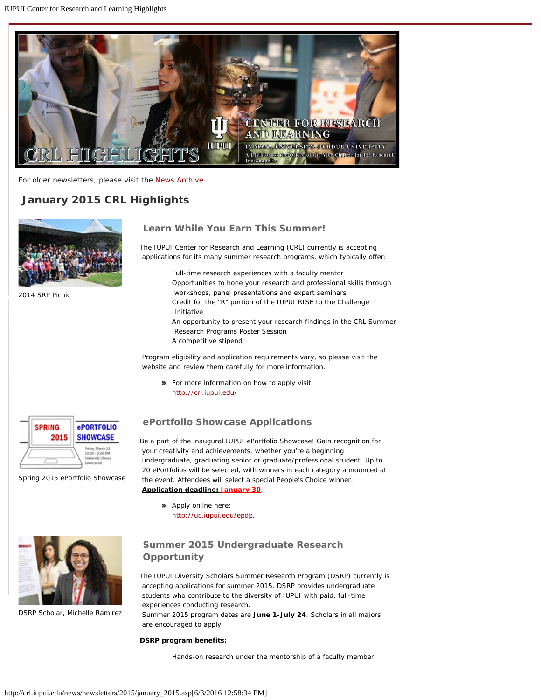<span id="page-0-0"></span>

For older newsletters, please visit the [News Archive](http://crl.iupui.edu/news/archive.asp).

# *January 2015 CRL Highlights*



2014 SRP Picnic

## **Learn While You Earn This Summer!**

The IUPUI Center for Research and Learning (CRL) currently is accepting applications for its many summer research programs, which typically offer:

> Full-time research experiences with a faculty mentor Opportunities to hone your research and professional skills through workshops, panel presentations and expert seminars Credit for the "R" portion of the IUPUI RISE to the Challenge Initiative An opportunity to present your research findings in the CRL Summer Research Programs Poster Session A competitive stipend

Program eligibility and application requirements vary, so please visit the website and review them carefully for more information.

**•** For more information on how to apply visit: <http://crl.iupui.edu/>



Spring 2015 ePortfolio Showcase

 **ePortfolio Showcase Applications**

Be a part of the inaugural IUPUI ePortfolio Showcase! Gain recognition for your creativity and achievements, whether you're a beginning undergraduate, graduating senior or graduate/professional student. Up to 20 ePortfolios will be selected, with winners in each category announced at the event. Attendees will select a special People's Choice winner. **Application deadline: January 30**.

**»** Apply online here: <http://uc.iupui.edu/epdp>.



DSRP Scholar, Michelle Ramirez

## **Summer 2015 Undergraduate Research Opportunity**

The IUPUI Diversity Scholars Summer Research Program (DSRP) currently is accepting applications for summer 2015. DSRP provides undergraduate students who contribute to the diversity of IUPUI with paid, full-time experiences conducting research.

Summer 2015 program dates are **June 1-July 24**. Scholars in all majors are encouraged to apply.

#### **DSRP program benefits:**

Hands-on research under the mentorship of a faculty member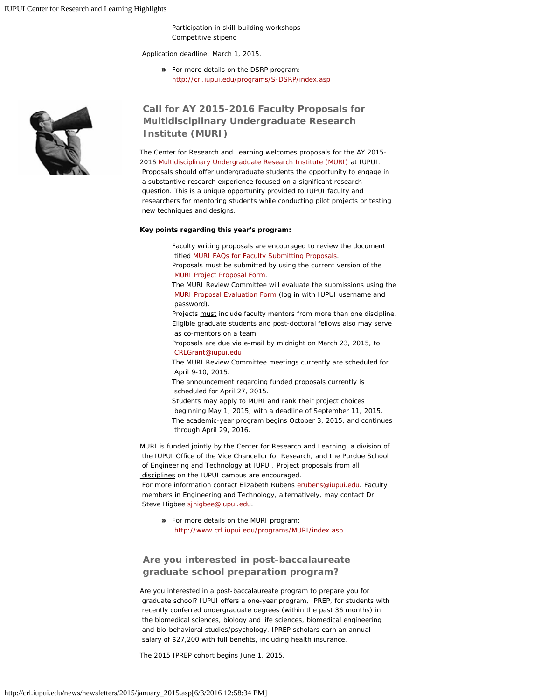Participation in skill-building workshops Competitive stipend

Application deadline: March 1, 2015.

**»** For more details on the DSRP program: <http://crl.iupui.edu/programs/S-DSRP/index.asp>



### **Call for AY 2015-2016 Faculty Proposals for Multidisciplinary Undergraduate Research Institute (MURI)**

The Center for Research and Learning welcomes proposals for the AY 2015- 2016 [Multidisciplinary Undergraduate Research Institute \(MURI\)](http://www.crl.iupui.edu/programs/MURI/index.asp) at IUPUI. Proposals should offer undergraduate students the opportunity to engage in a substantive research experience focused on a significant research question. This is a unique opportunity provided to IUPUI faculty and researchers for mentoring students while conducting pilot projects or testing new techniques and designs.

#### **Key points regarding this year's program:**

Faculty writing proposals are encouraged to review the document titled [MURI FAQs for Faculty Submitting Proposals](http://www.crl.iupui.edu/assets/documents/MURI_FAQs_for_Proposals_Revised_1_22_15_v2.docx).

Proposals must be submitted by using the current version of the [MURI Project Proposal Form](http://www.crl.iupui.edu/assets/documents/MURI_Project_Proposal_Form_AY2015_2016_v2.docx).

The MURI Review Committee will evaluate the submissions using the [MURI Proposal Evaluation Form](https://surveycentral.uc.iupui.edu/muriproposalreview2012SAMPLE.aspx) (log in with IUPUI username and password).

Projects must include faculty mentors from more than one discipline. Eligible graduate students and post-doctoral fellows also may serve as co-mentors on a team.

Proposals are due via e-mail by midnight on March 23, 2015, to: [CRLGrant@iupui.edu](mailto:CRLGrant@iupui.edu)

The MURI Review Committee meetings currently are scheduled for April 9-10, 2015.

The announcement regarding funded proposals currently is scheduled for April 27, 2015.

Students may apply to MURI and rank their project choices beginning May 1, 2015, with a deadline of September 11, 2015. The academic-year program begins October 3, 2015, and continues through April 29, 2016.

MURI is funded jointly by the Center for Research and Learning, a division of the IUPUI Office of the Vice Chancellor for Research, and the Purdue School of Engineering and Technology at IUPUI. Project proposals from all disciplines on the IUPUI campus are encouraged.

For more information contact Elizabeth Rubens [erubens@iupui.edu](mailto:erubens@iupui.edu). Faculty members in Engineering and Technology, alternatively, may contact Dr. Steve Higbee [sjhigbee@iupui.edu](mailto:sjhigbee@iupui.edu).

**»** For more details on the MURI program: <http://www.crl.iupui.edu/programs/MURI/index.asp>

## **Are you interested in post-baccalaureate graduate school preparation program?**

Are you interested in a post-baccalaureate program to prepare you for graduate school? IUPUI offers a one-year program, IPREP, for students with recently conferred undergraduate degrees (within the past 36 months) in the biomedical sciences, biology and life sciences, biomedical engineering and bio-behavioral studies/psychology. IPREP scholars earn an annual salary of \$27,200 with full benefits, including health insurance.

The 2015 IPREP cohort begins June 1, 2015.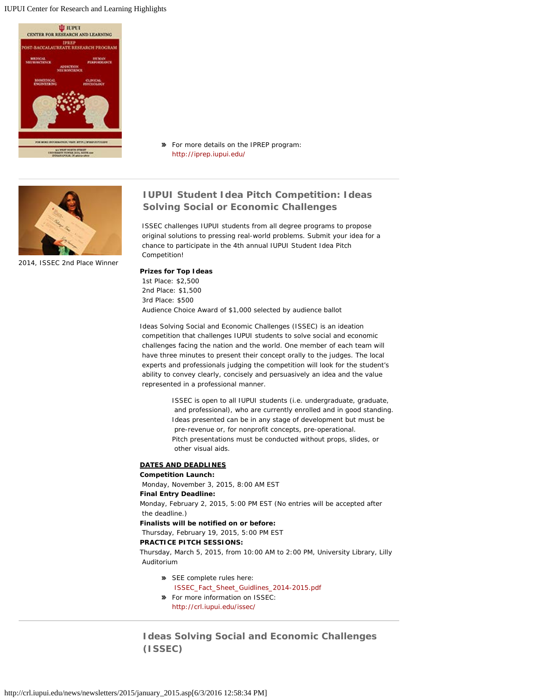#### IUPUI Center for Research and Learning Highlights



**»** For more details on the IPREP program: <http://iprep.iupui.edu/>



2014, ISSEC 2nd Place Winner

## **IUPUI Student Idea Pitch Competition: Ideas Solving Social or Economic Challenges**

 ISSEC challenges IUPUI students from all degree programs to propose original solutions to pressing real-world problems. Submit your idea for a chance to participate in the 4th annual IUPUI Student Idea Pitch Competition!

### **Prizes for Top Ideas**

1st Place: \$2,500 2nd Place: \$1,500 3rd Place: \$500 Audience Choice Award of \$1,000 selected by audience ballot

Ideas Solving Social and Economic Challenges (ISSEC) is an ideation competition that challenges IUPUI students to solve social and economic challenges facing the nation and the world. One member of each team will have three minutes to present their concept orally to the judges. The local experts and professionals judging the competition will look for the student's ability to convey clearly, concisely and persuasively an idea and the value represented in a professional manner.

> ISSEC is open to all IUPUI students (i.e. undergraduate, graduate, and professional), who are currently enrolled and in good standing. Ideas presented can be in any stage of development but must be pre-revenue or, for nonprofit concepts, pre-operational. Pitch presentations must be conducted without props, slides, or other visual aids.

### **DATES AND DEADLINES**

**Competition Launch:**

Monday, November 3, 2015, 8:00 AM EST

### **Final Entry Deadline:**

Monday, February 2, 2015, 5:00 PM EST (*No entries will be accepted after the deadline*.)

## **Finalists will be notified on or before:**

Thursday, February 19, 2015, 5:00 PM EST

### **PRACTICE PITCH SESSIONS:**

Thursday, March 5, 2015, from 10:00 AM to 2:00 PM, University Library, Lilly Auditorium

- SEE complete rules here: [ISSEC\\_Fact\\_Sheet\\_Guidlines\\_2014-2015.pdf](http://crl.iupui.edu/issec/assets/doc/ISSEC_Fact_Sheet_Guidlines_2014-2015.pdf)
- For more information on ISSEC: <http://crl.iupui.edu/issec/>

**Ideas Solving Social and Economic Challenges (ISSEC)**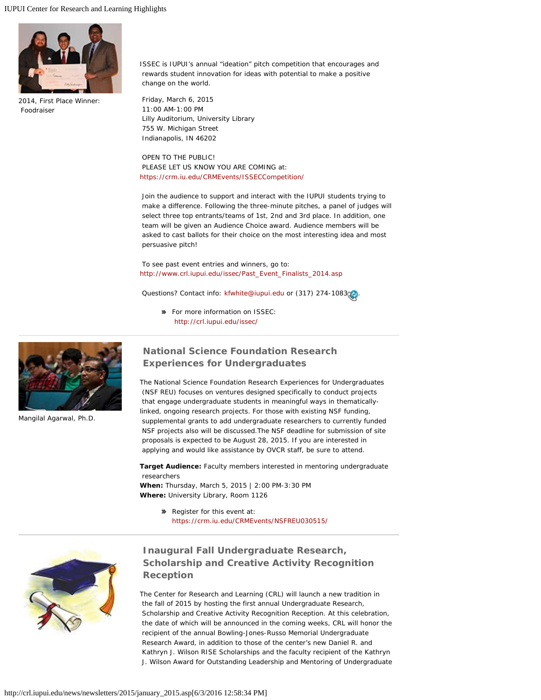

2014, First Place Winner: Foodraiser

ISSEC is IUPUI's annual "ideation" pitch competition that encourages and rewards student innovation for ideas with potential to make a positive change on the world.

Friday, March 6, 2015 11:00 AM-1:00 PM Lilly Auditorium, University Library 755 W. Michigan Street Indianapolis, IN 46202

OPEN TO THE PUBLIC! PLEASE LET US KNOW YOU ARE COMING at: <https://crm.iu.edu/CRMEvents/ISSECCompetition/>

Join the audience to support and interact with the IUPUI students trying to make a difference. Following the three-minute pitches, a panel of judges will select three top entrants/teams of 1st, 2nd and 3rd place. In addition, one team will be given an Audience Choice award. Audience members will be asked to cast ballots for their choice on the most interesting idea and most persuasive pitch!

To see past event entries and winners, go to: [http://www.crl.iupui.edu/issec/Past\\_Event\\_Finalists\\_2014.asp](http://www.crl.iupui.edu/issec/Past_Event_Finalists_2014.asp)

Questions? Contact info: [kfwhite@iupui.edu](mailto:kfwhite@iupui.edu) or (317) 274-1083 [.](#page-0-0)..

For more information on ISSEC: <http://crl.iupui.edu/issec/>



Mangilal Agarwal, Ph.D.

### **National Science Foundation Research Experiences for Undergraduates**

The National Science Foundation Research Experiences for Undergraduates (NSF REU) focuses on ventures designed specifically to conduct projects that engage undergraduate students in meaningful ways in thematicallylinked, ongoing research projects. For those with existing NSF funding, supplemental grants to add undergraduate researchers to currently funded NSF projects also will be discussed.The NSF deadline for submission of site proposals is expected to be August 28, 2015. If you are interested in applying and would like assistance by OVCR staff, be sure to attend.

**Target Audience:** Faculty members interested in mentoring undergraduate researchers

**When:** Thursday, March 5, 2015 | 2:00 PM-3:30 PM **Where:** University Library, Room 1126

> Register for this event at: <https://crm.iu.edu/CRMEvents/NSFREU030515/>



## **Inaugural Fall Undergraduate Research, Scholarship and Creative Activity Recognition Reception**

The Center for Research and Learning (CRL) will launch a new tradition in the fall of 2015 by hosting the first annual Undergraduate Research, Scholarship and Creative Activity Recognition Reception. At this celebration, the date of which will be announced in the coming weeks, CRL will honor the recipient of the annual Bowling-Jones-Russo Memorial Undergraduate Research Award, in addition to those of the center's new Daniel R. and Kathryn J. Wilson RISE Scholarships and the faculty recipient of the Kathryn J. Wilson Award for Outstanding Leadership and Mentoring of Undergraduate